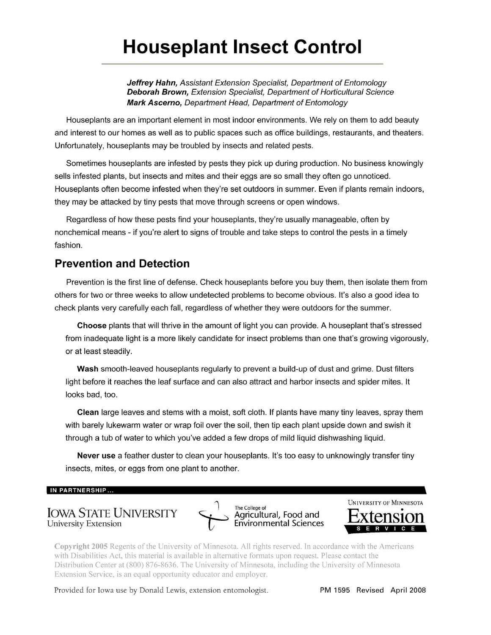# **Houseplant Insect Control**

**Jeffrey Hahn,** Assistant Extension Specialist, Department of Entomology **Deborah Brown, Extension Specialist, Department of Horticultural Science Mark Ascerno, Department Head, Department of Entomology** 

Houseplants are an important element in most indoor environments. We rely on them to add beauty and interest to our homes as well as to public spaces such as office buildings, restaurants, and theaters. Unfortunately, houseplants may be troubled by insects and related pests.

Sometimes houseplants are infested by pests they pick up during production. No business knowingly sells infested plants, but insects and mites and their eggs are so small they often go unnoticed. Houseplants often become infested when they're set outdoors in summer. Even if plants remain indoors, they may be attacked by tiny pests that move through screens or open windows.

Regardless of how these pests find your houseplants, they're usually manageable, often by nonchemical means - if you're alert to signs of trouble and take steps to control the pests in a timely fashion.

# **Prevention and Detection**

Prevention is the first line of defense. Check houseplants before you buy them, then isolate them from others for two or three weeks to allow undetected problems to become obvious. It's also a good idea to check plants very carefully each fall, regardless of whether they were outdoors for the summer.

**Choose** plants that will thrive in the amount of light you can provide. A houseplant that's stressed from inadequate light is a more likely candidate for insect problems than one that's growing vigorously, or at least steadily.

**Wash** smooth-leaved houseplants regularly to prevent a build-up of dust and grime. Dust filters light before it reaches the leaf surface and can also attract and harbor insects and spider mites. It looks bad, too.

**Clean** large leaves and stems with a moist, soft cloth. If plants have many tiny leaves, spray them with barely lukewarm water or wrap foil over the soil, then tip each plant upside down and swish it through a tub of water to which you've added a few drops of mild liquid dishwashing liquid.

**Never use** a feather duster to clean your houseplants. It's too easy to unknowingly transfer tiny insects, mites, or eggs from one plant to another.

#### **IN PARTNERSHIP ...**

# University Extension IOWA STATE UNIVERSITY SAgricultural,





**Copyright 2005** Regents of the University of Minnesota. All rights reserved. In accordance with the Americans with Disabilities Act, this material is available in alternative formats upon request. Please contact the Distribution Center at (800) 876-8636. The University of Minnesota, including the University of Minnesota Extension Service, is an equal opportunity educator and employer.

Provided for Iowa use by Donald Lewis, extension entomologist. PM 1595 Revised April 2008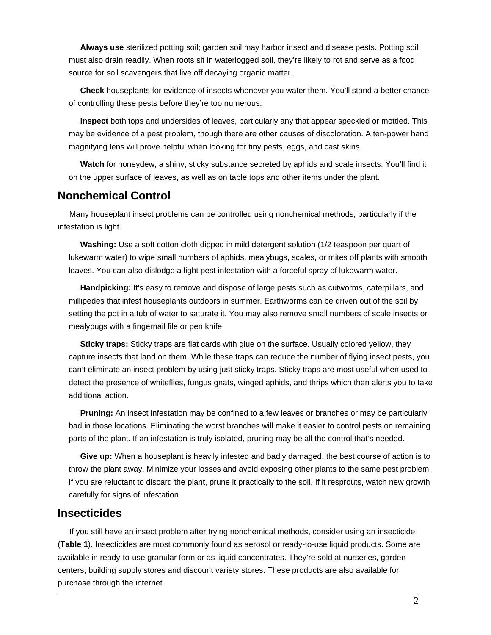**Always use** sterilized potting soil; garden soil may harbor insect and disease pests. Potting soil must also drain readily. When roots sit in waterlogged soil, they're likely to rot and serve as a food source for soil scavengers that live off decaying organic matter.

 of controlling these pests before they're too numerous. **Check** houseplants for evidence of insects whenever you water them. You'll stand a better chance

**Inspect** both tops and undersides of leaves, particularly any that appear speckled or mottled. This may be evidence of a pest problem, though there are other causes of discoloration. A ten-power hand magnifying lens will prove helpful when looking for tiny pests, eggs, and cast skins.

**Watch** for honeydew, a shiny, sticky substance secreted by aphids and scale insects. You'll find it on the upper surface of leaves, as well as on table tops and other items under the plant.

# **Nonchemical Control**

Many houseplant insect problems can be controlled using nonchemical methods, particularly if the infestation is light.

**Washing:** Use a soft cotton cloth dipped in mild detergent solution (1/2 teaspoon per quart of lukewarm water) to wipe small numbers of aphids, mealybugs, scales, or mites off plants with smooth leaves. You can also dislodge a light pest infestation with a forceful spray of lukewarm water.

**Handpicking:** It's easy to remove and dispose of large pests such as cutworms, caterpillars, and millipedes that infest houseplants outdoors in summer. Earthworms can be driven out of the soil by setting the pot in a tub of water to saturate it. You may also remove small numbers of scale insects or mealybugs with a fingernail file or pen knife.

**Sticky traps:** Sticky traps are flat cards with glue on the surface. Usually colored yellow, they capture insects that land on them. While these traps can reduce the number of flying insect pests, you can't eliminate an insect problem by using just sticky traps. Sticky traps are most useful when used to detect the presence of whiteflies, fungus gnats, winged aphids, and thrips which then alerts you to take additional action.

**Pruning:** An insect infestation may be confined to a few leaves or branches or may be particularly bad in those locations. Eliminating the worst branches will make it easier to control pests on remaining parts of the plant. If an infestation is truly isolated, pruning may be all the control that's needed.

**Give up:** When a houseplant is heavily infested and badly damaged, the best course of action is to throw the plant away. Minimize your losses and avoid exposing other plants to the same pest problem. If you are reluctant to discard the plant, prune it practically to the soil. If it resprouts, watch new growth carefully for signs of infestation.

# **Insecticides**

If you still have an insect problem after trying nonchemical methods, consider using an insecticide (**Table 1**). Insecticides are most commonly found as aerosol or ready-to-use liquid products. Some are available in ready-to-use granular form or as liquid concentrates. They're sold at nurseries, garden centers, building supply stores and discount variety stores. These products are also available for purchase through the internet.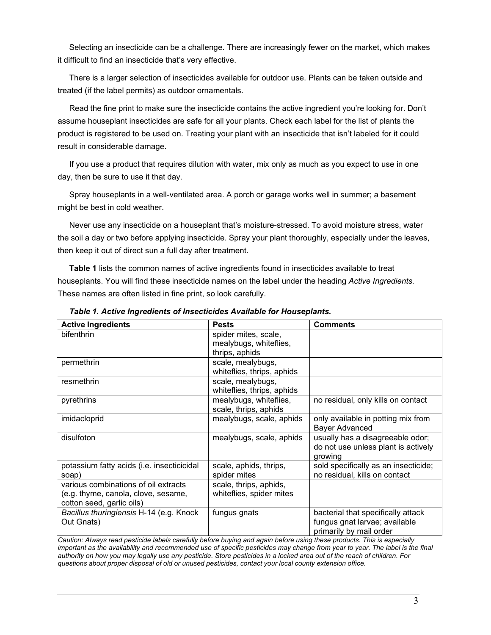Selecting an insecticide can be a challenge. There are increasingly fewer on the market, which makes it difficult to find an insecticide that's very effective.

There is a larger selection of insecticides available for outdoor use. Plants can be taken outside and treated (if the label permits) as outdoor ornamentals.

Read the fine print to make sure the insecticide contains the active ingredient you're looking for. Don't assume houseplant insecticides are safe for all your plants. Check each label for the list of plants the product is registered to be used on. Treating your plant with an insecticide that isn't labeled for it could result in considerable damage.

If you use a product that requires dilution with water, mix only as much as you expect to use in one day, then be sure to use it that day.

Spray houseplants in a well-ventilated area. A porch or garage works well in summer; a basement might be best in cold weather.

Never use any insecticide on a houseplant that's moisture-stressed. To avoid moisture stress, water the soil a day or two before applying insecticide. Spray your plant thoroughly, especially under the leaves, then keep it out of direct sun a full day after treatment.

**Table 1** lists the common names of active ingredients found in insecticides available to treat houseplants. You will find these insecticide names on the label under the heading *Active Ingredients.* These names are often listed in fine print, so look carefully.

| <b>Active Ingredients</b>                                                                                | <b>Pests</b>                                                     | <b>Comments</b>                                                                                |
|----------------------------------------------------------------------------------------------------------|------------------------------------------------------------------|------------------------------------------------------------------------------------------------|
| bifenthrin                                                                                               | spider mites, scale,<br>mealybugs, whiteflies,<br>thrips, aphids |                                                                                                |
| permethrin                                                                                               | scale, mealybugs,<br>whiteflies, thrips, aphids                  |                                                                                                |
| resmethrin                                                                                               | scale, mealybugs,<br>whiteflies, thrips, aphids                  |                                                                                                |
| pyrethrins                                                                                               | mealybugs, whiteflies,<br>scale, thrips, aphids                  | no residual, only kills on contact                                                             |
| imidacloprid                                                                                             | mealybugs, scale, aphids                                         | only available in potting mix from<br><b>Bayer Advanced</b>                                    |
| disulfoton                                                                                               | mealybugs, scale, aphids                                         | usually has a disagreeable odor;<br>do not use unless plant is actively<br>growing             |
| potassium fatty acids (i.e. insecticicidal<br>soap)                                                      | scale, aphids, thrips,<br>spider mites                           | sold specifically as an insecticide;<br>no residual, kills on contact                          |
| various combinations of oil extracts<br>(e.g. thyme, canola, clove, sesame,<br>cotton seed, garlic oils) | scale, thrips, aphids,<br>whiteflies, spider mites               |                                                                                                |
| Bacillus thuringiensis H-14 (e.g. Knock<br>Out Gnats)                                                    | fungus gnats                                                     | bacterial that specifically attack<br>fungus gnat larvae; available<br>primarily by mail order |

*Table 1. Active Ingredients of Insecticides Available for Houseplants.* 

*Caution: Always read pesticide labels carefully before buying and again before using these products. This is especially important as the availability and recommended use of specific pesticides may change from year to year. The label is the final authority on how you may legally use any pesticide. Store pesticides in a locked area out of the reach of children. For questions about proper disposal of old or unused pesticides, contact your local county extension office.*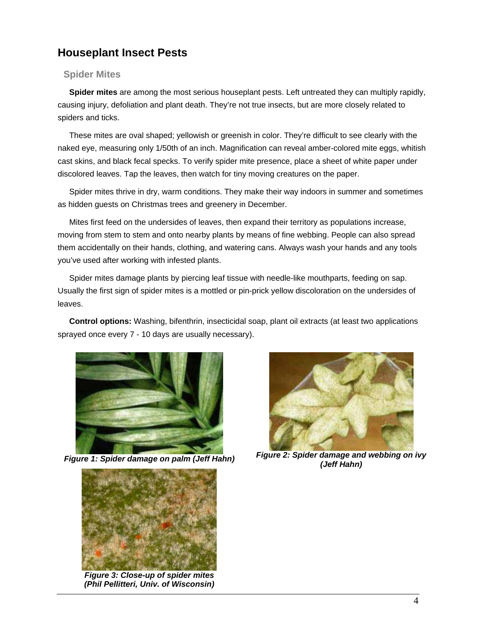# **Houseplant Insect Pests**

## **Spider Mites**

**Spider mites** are among the most serious houseplant pests. Left untreated they can multiply rapidly, causing injury, defoliation and plant death. They're not true insects, but are more closely related to spiders and ticks.

These mites are oval shaped; yellowish or greenish in color. They're difficult to see clearly with the naked eye, measuring only 1/50th of an inch. Magnification can reveal amber-colored mite eggs, whitish cast skins, and black fecal specks. To verify spider mite presence, place a sheet of white paper under discolored leaves. Tap the leaves, then watch for tiny moving creatures on the paper.

Spider mites thrive in dry, warm conditions. They make their way indoors in summer and sometimes as hidden guests on Christmas trees and greenery in December.

Mites first feed on the undersides of leaves, then expand their territory as populations increase, moving from stem to stem and onto nearby plants by means of fine webbing. People can also spread them accidentally on their hands, clothing, and watering cans. Always wash your hands and any tools you've used after working with infested plants.

Spider mites damage plants by piercing leaf tissue with needle-like mouthparts, feeding on sap. Usually the first sign of spider mites is a mottled or pin-prick yellow discoloration on the undersides of leaves.

**Control options:** Washing, bifenthrin, insecticidal soap, plant oil extracts (at least two applications sprayed once every 7 - 10 days are usually necessary).



*(Jeff Hahn) Figure 1: Spider damage on palm (Jeff Hahn)* 



*Figure 3: Close-up of spider mites (Phil Pellitteri, Univ. of Wisconsin)* 



*Figure 2: Spider damage and webbing on ivy*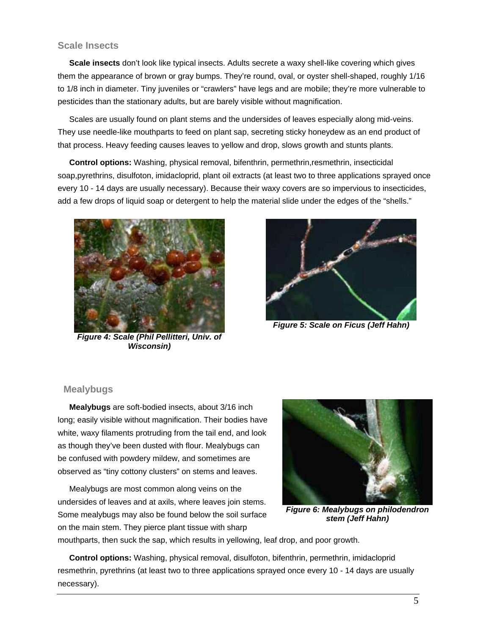#### **Scale Insects**

**Scale insects** don't look like typical insects. Adults secrete a waxy shell-like covering which gives them the appearance of brown or gray bumps. They're round, oval, or oyster shell-shaped, roughly 1/16 to 1/8 inch in diameter. Tiny juveniles or "crawlers" have legs and are mobile; they're more vulnerable to pesticides than the stationary adults, but are barely visible without magnification.

Scales are usually found on plant stems and the undersides of leaves especially along mid-veins. They use needle-like mouthparts to feed on plant sap, secreting sticky honeydew as an end product of that process. Heavy feeding causes leaves to yellow and drop, slows growth and stunts plants.

**Control options:** Washing, physical removal, bifenthrin, permethrin,resmethrin, insecticidal soap,pyrethrins, disulfoton, imidacloprid, plant oil extracts (at least two to three applications sprayed once every 10 - 14 days are usually necessary). Because their waxy covers are so impervious to insecticides, add a few drops of liquid soap or detergent to help the material slide under the edges of the "shells."



*Figure 4: Scale (Phil Pellitteri, Univ. of Wisconsin)* 



*Figure 5: Scale on Ficus (Jeff Hahn)* 

#### **Mealybugs**

**Mealybugs** are soft-bodied insects, about 3/16 inch long; easily visible without magnification. Their bodies have white, waxy filaments protruding from the tail end, and look as though they've been dusted with flour. Mealybugs can be confused with powdery mildew, and sometimes are observed as "tiny cottony clusters" on stems and leaves.

Mealybugs are most common along veins on the undersides of leaves and at axils, where leaves join stems. Some mealybugs may also be found below the soil surface on the main stem. They pierce plant tissue with sharp



*Figure 6: Mealybugs on philodendron stem (Jeff Hahn)* 

mouthparts, then suck the sap, which results in yellowing, leaf drop, and poor growth.

**Control options:** Washing, physical removal, disulfoton, bifenthrin, permethrin, imidacloprid resmethrin, pyrethrins (at least two to three applications sprayed once every 10 - 14 days are usually necessary).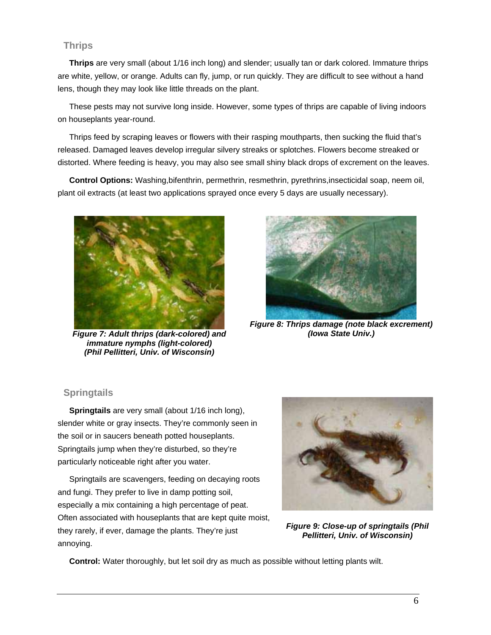## **Thrips**

**Thrips** are very small (about 1/16 inch long) and slender; usually tan or dark colored. Immature thrips are white, yellow, or orange. Adults can fly, jump, or run quickly. They are difficult to see without a hand lens, though they may look like little threads on the plant.

These pests may not survive long inside. However, some types of thrips are capable of living indoors on houseplants year-round.

Thrips feed by scraping leaves or flowers with their rasping mouthparts, then sucking the fluid that's released. Damaged leaves develop irregular silvery streaks or splotches. Flowers become streaked or distorted. Where feeding is heavy, you may also see small shiny black drops of excrement on the leaves.

**Control Options:** Washing,bifenthrin, permethrin, resmethrin, pyrethrins,insecticidal soap, neem oil, plant oil extracts (at least two applications sprayed once every 5 days are usually necessary).



*Figure 7: Adult thrips (dark-colored) and immature nymphs (light-colored) (Phil Pellitteri, Univ. of Wisconsin)* 



*Figure 8: Thrips damage (note black excrement) (Iowa State Univ.)* 

# **Springtails**

**Springtails** are very small (about 1/16 inch long), slender white or gray insects. They're commonly seen in the soil or in saucers beneath potted houseplants. Springtails jump when they're disturbed, so they're particularly noticeable right after you water.

Springtails are scavengers, feeding on decaying roots and fungi. They prefer to live in damp potting soil, especially a mix containing a high percentage of peat. Often associated with houseplants that are kept quite moist, they rarely, if ever, damage the plants. They're just annoying.



*Figure 9: Close-up of springtails (Phil Pellitteri, Univ. of Wisconsin)* 

**Control:** Water thoroughly, but let soil dry as much as possible without letting plants wilt.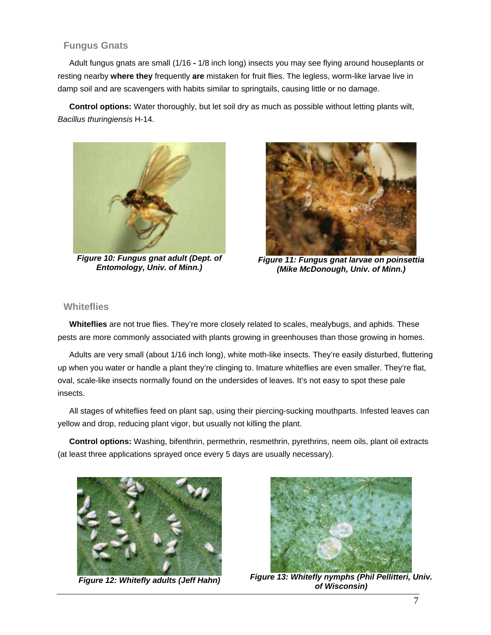## **Fungus Gnats**

Adult fungus gnats are small (1/16 **-** 1/8 inch long) insects you may see flying around houseplants or resting nearby **where they** frequently **are** mistaken for fruit flies. The legless, worm-like larvae live in damp soil and are scavengers with habits similar to springtails, causing little or no damage.

**Control options:** Water thoroughly, but let soil dry as much as possible without letting plants wilt, *Bacillus thuringiensis* H-14.





*Figure 10: Fungus gnat adult (Dept. of Figure 11: Fungus gnat larvae on poinsettia Entomology, Univ. of Minn.) (Mike McDonough, Univ. of Minn.)* 

#### **Whiteflies**

**Whiteflies** are not true flies. They're more closely related to scales, mealybugs, and aphids. These pests are more commonly associated with plants growing in greenhouses than those growing in homes.

Adults are very small (about 1/16 inch long), white moth-like insects. They're easily disturbed, fluttering up when you water or handle a plant they're clinging to. Imature whiteflies are even smaller. They're flat, oval, scale-like insects normally found on the undersides of leaves. It's not easy to spot these pale

insects.<br>All stages of whiteflies feed on plant sap, using their piercing-sucking mouthparts. Infested leaves can yellow and drop, reducing plant vigor, but usually not killing the plant.

**Control options:** Washing, bifenthrin, permethrin, resmethrin, pyrethrins, neem oils, plant oil extracts (at least three applications sprayed once every 5 days are usually necessary).





*Figure 13: Whitefly nymphs (Phil Pellitteri, Univ. Figure 12: Whitefly adults (Jeff Hahn) of Wisconsin)*